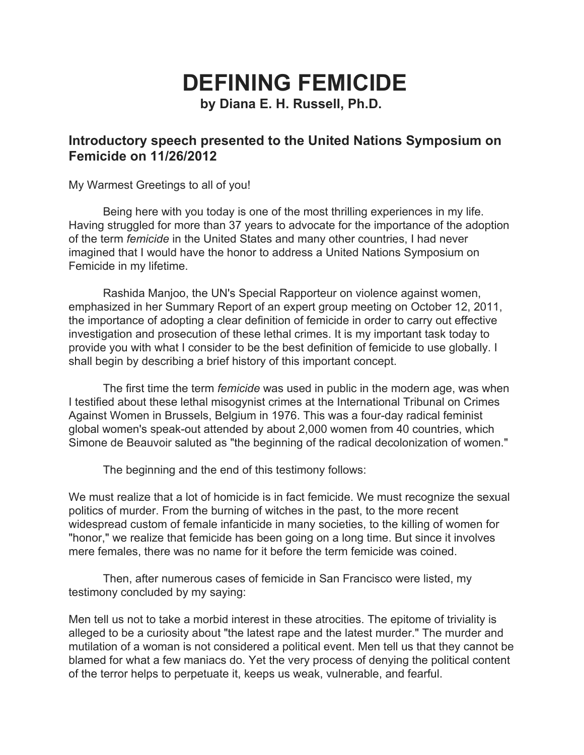## **DEFINING FEMICIDE**

**by Diana E. H. Russell, Ph.D.**

## **Introductory speech presented to the United Nations Symposium on Femicide on 11/26/2012**

My Warmest Greetings to all of you!

Being here with you today is one of the most thrilling experiences in my life. Having struggled for more than 37 years to advocate for the importance of the adoption of the term *femicide* in the United States and many other countries, I had never imagined that I would have the honor to address a United Nations Symposium on Femicide in my lifetime.

Rashida Manjoo, the UN's Special Rapporteur on violence against women, emphasized in her Summary Report of an expert group meeting on October 12, 2011, the importance of adopting a clear definition of femicide in order to carry out effective investigation and prosecution of these lethal crimes. It is my important task today to provide you with what I consider to be the best definition of femicide to use globally. I shall begin by describing a brief history of this important concept.

The first time the term *femicide* was used in public in the modern age, was when I testified about these lethal misogynist crimes at the International Tribunal on Crimes Against Women in Brussels, Belgium in 1976. This was a four-day radical feminist global women's speak-out attended by about 2,000 women from 40 countries, which Simone de Beauvoir saluted as "the beginning of the radical decolonization of women."

The beginning and the end of this testimony follows:

We must realize that a lot of homicide is in fact femicide. We must recognize the sexual politics of murder. From the burning of witches in the past, to the more recent widespread custom of female infanticide in many societies, to the killing of women for "honor," we realize that femicide has been going on a long time. But since it involves mere females, there was no name for it before the term femicide was coined.

Then, after numerous cases of femicide in San Francisco were listed, my testimony concluded by my saying:

Men tell us not to take a morbid interest in these atrocities. The epitome of triviality is alleged to be a curiosity about "the latest rape and the latest murder." The murder and mutilation of a woman is not considered a political event. Men tell us that they cannot be blamed for what a few maniacs do. Yet the very process of denying the political content of the terror helps to perpetuate it, keeps us weak, vulnerable, and fearful.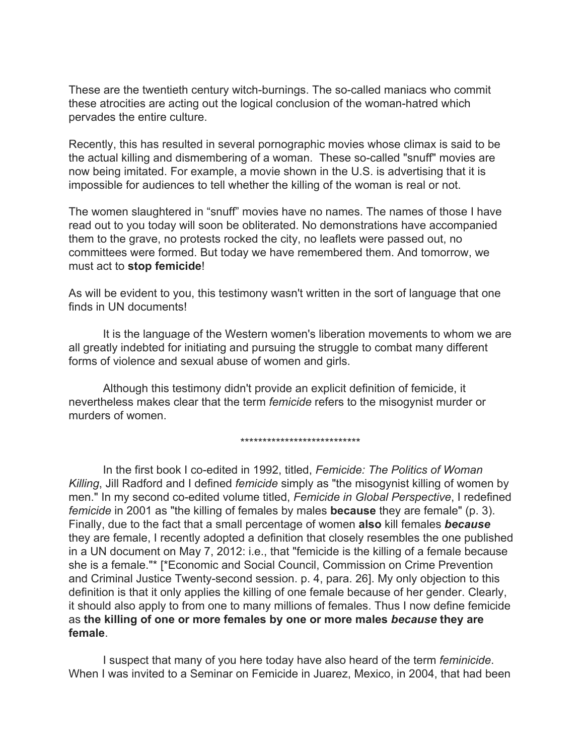These are the twentieth century witch-burnings. The so-called maniacs who commit these atrocities are acting out the logical conclusion of the woman-hatred which pervades the entire culture.

Recently, this has resulted in several pornographic movies whose climax is said to be the actual killing and dismembering of a woman. These so-called "snuff" movies are now being imitated. For example, a movie shown in the U.S. is advertising that it is impossible for audiences to tell whether the killing of the woman is real or not.

The women slaughtered in "snuff" movies have no names. The names of those I have read out to you today will soon be obliterated. No demonstrations have accompanied them to the grave, no protests rocked the city, no leaflets were passed out, no committees were formed. But today we have remembered them. And tomorrow, we must act to **stop femicide**!

As will be evident to you, this testimony wasn't written in the sort of language that one finds in UN documents!

It is the language of the Western women's liberation movements to whom we are all greatly indebted for initiating and pursuing the struggle to combat many different forms of violence and sexual abuse of women and girls.

Although this testimony didn't provide an explicit definition of femicide, it nevertheless makes clear that the term *femicide* refers to the misogynist murder or murders of women.

\*\*\*\*\*\*\*\*\*\*\*\*\*\*\*\*\*\*\*\*\*\*\*\*\*\*\*

In the first book I coedited in 1992, titled, *Femicide: The Politics of Woman Killing*, Jill Radford and I defined *femicide* simply as "the misogynist killing of women by men." In my second co-edited volume titled, Femicide in Global Perspective, I redefined *femicide* in 2001 as "the killing of females by males **because**they are female" (p. 3). Finally, due to the fact that a small percentage of women **also**kill females *because* they are female, I recently adopted a definition that closely resembles the one published in a UN document on May 7, 2012: i.e., that "femicide is the killing of a female because she is a female."\* [\*Economic and Social Council, Commission on Crime Prevention and Criminal Justice Twenty-second session. p. 4, para. 26]. My only objection to this definition is that it only applies the killing of one female because of her gender. Clearly, it should also apply to from one to many millions of females. Thus I now define femicide as **the killing of one or more females by one or more males** *because***they are female**.

I suspect that many of you here today have also heard of the term *feminicide*. When I was invited to a Seminar on Femicide in Juarez, Mexico, in 2004, that had been